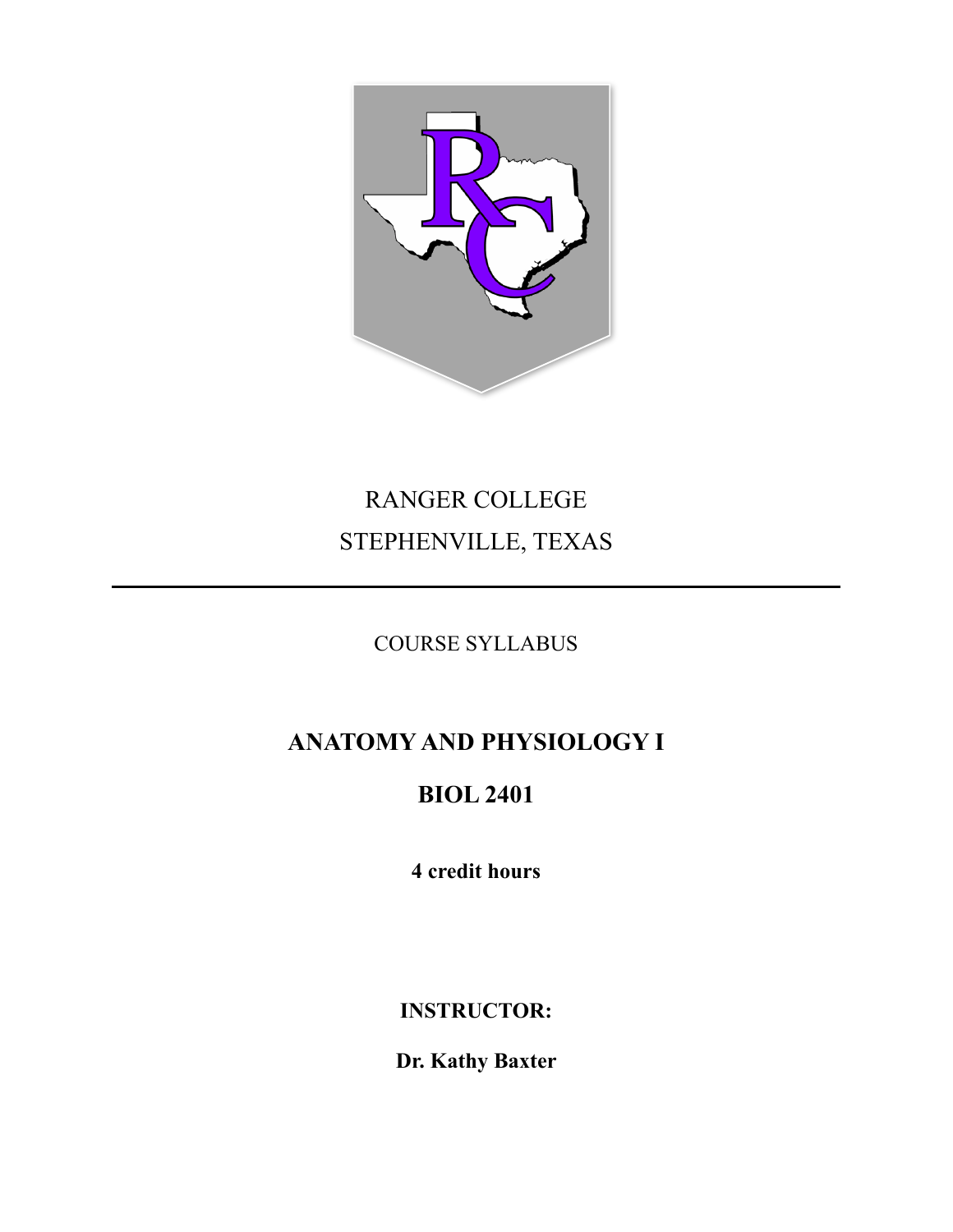

# RANGER COLLEGE STEPHENVILLE, TEXAS

COURSE SYLLABUS

## **ANATOMY AND PHYSIOLOGY I**

## **BIOL 2401**

**4 credit hours**

**INSTRUCTOR:**

**Dr. Kathy Baxter**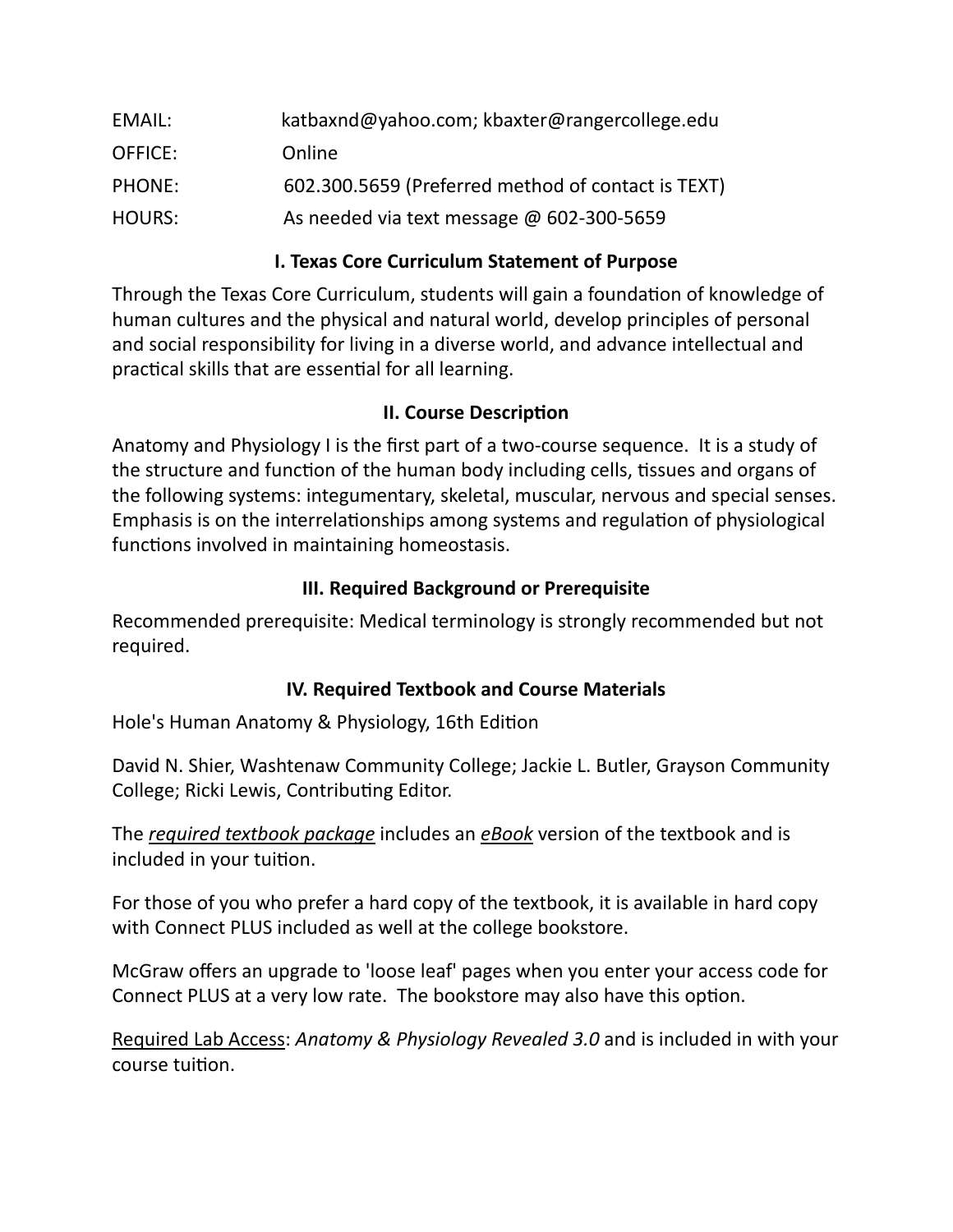| EMAIL:        | katbaxnd@yahoo.com; kbaxter@rangercollege.edu      |
|---------------|----------------------------------------------------|
| OFFICE:       | Online                                             |
| PHONE:        | 602.300.5659 (Preferred method of contact is TEXT) |
| <b>HOURS:</b> | As needed via text message @ 602-300-5659          |

## **I. Texas Core Curriculum Statement of Purpose**

Through the Texas Core Curriculum, students will gain a foundation of knowledge of human cultures and the physical and natural world, develop principles of personal and social responsibility for living in a diverse world, and advance intellectual and practical skills that are essential for all learning.

#### **II. Course Description**

Anatomy and Physiology I is the first part of a two-course sequence. It is a study of the structure and function of the human body including cells, tissues and organs of the following systems: integumentary, skeletal, muscular, nervous and special senses. Emphasis is on the interrelationships among systems and regulation of physiological functions involved in maintaining homeostasis.

#### **III. Required Background or Prerequisite**

Recommended prerequisite: Medical terminology is strongly recommended but not required.

## **IV. Required Textbook and Course Materials**

Hole's Human Anatomy & Physiology, 16th Edition

David N. Shier, Washtenaw Community College; Jackie L. Butler, Grayson Community College; Ricki Lewis, Contributing Editor.

The *required textbook package* includes an *eBook* version of the textbook and is included in your tuition.

For those of you who prefer a hard copy of the textbook, it is available in hard copy with Connect PLUS included as well at the college bookstore.

McGraw offers an upgrade to 'loose leaf' pages when you enter your access code for Connect PLUS at a very low rate. The bookstore may also have this option.

Required Lab Access: *Anatomy & Physiology Revealed 3.0* and is included in with your course tuition.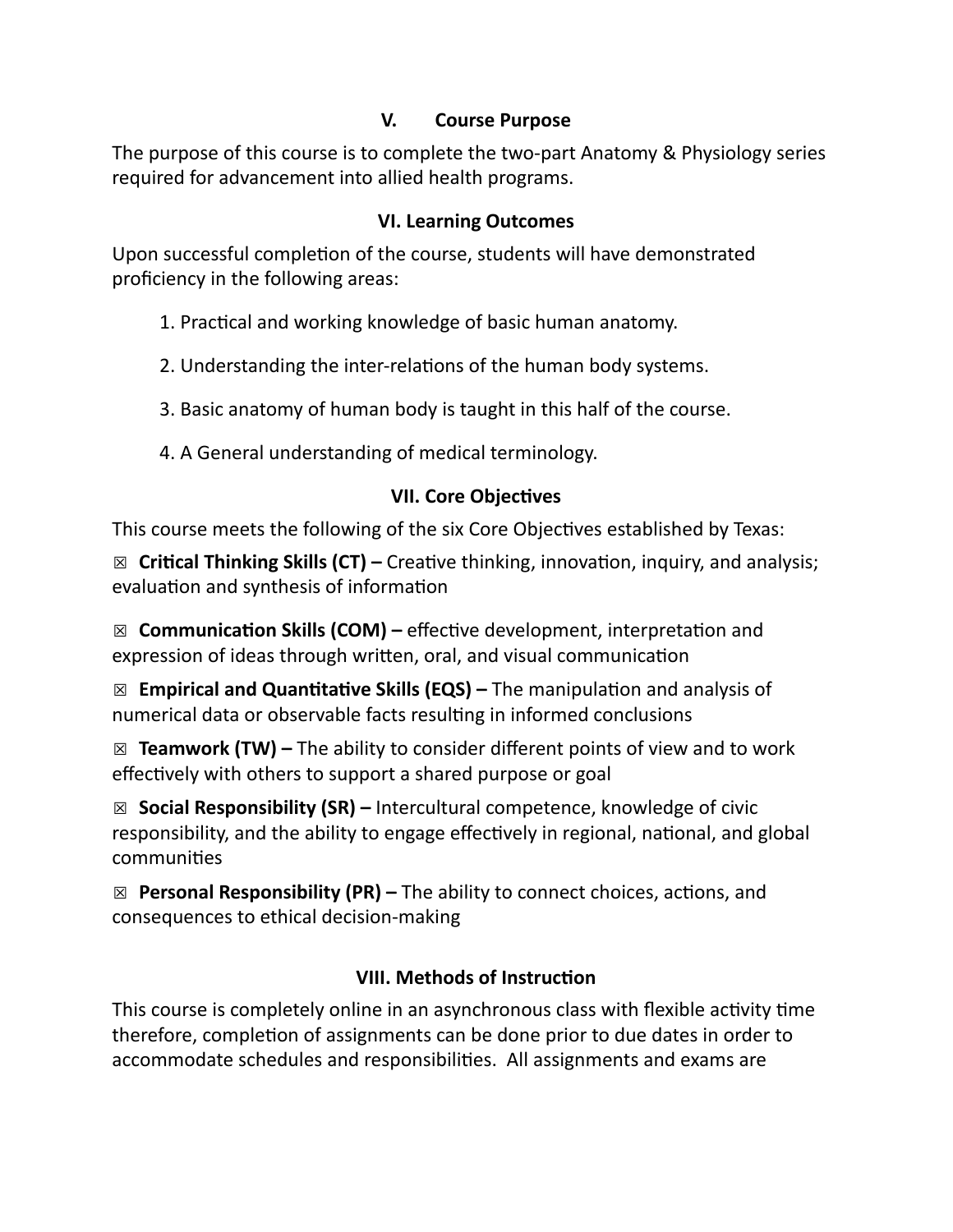## **V. Course Purpose**

The purpose of this course is to complete the two-part Anatomy & Physiology series required for advancement into allied health programs.

## **VI. Learning Outcomes**

Upon successful completion of the course, students will have demonstrated proficiency in the following areas:

## 1. Practical and working knowledge of basic human anatomy.

- 2. Understanding the inter-relations of the human body systems.
- 3. Basic anatomy of human body is taught in this half of the course.
- 4. A General understanding of medical terminology.

## **VII. Core Objectives**

This course meets the following of the six Core Objectives established by Texas:

☒ **Critical Thinking Skills (CT) –** Creative thinking, innovation, inquiry, and analysis; evaluation and synthesis of information

☒ **Communication Skills (COM) –** effective development, interpretation and expression of ideas through written, oral, and visual communication

☒ **Empirical and Quantitative Skills (EQS) –** The manipulation and analysis of numerical data or observable facts resulting in informed conclusions

☒ **Teamwork (TW) –** The ability to consider different points of view and to work effectively with others to support a shared purpose or goal

☒ **Social Responsibility (SR) –** Intercultural competence, knowledge of civic responsibility, and the ability to engage effectively in regional, national, and global communities

☒ **Personal Responsibility (PR) –** The ability to connect choices, actions, and consequences to ethical decision-making

## **VIII. Methods of Instruction**

This course is completely online in an asynchronous class with flexible activity time therefore, completion of assignments can be done prior to due dates in order to accommodate schedules and responsibilities. All assignments and exams are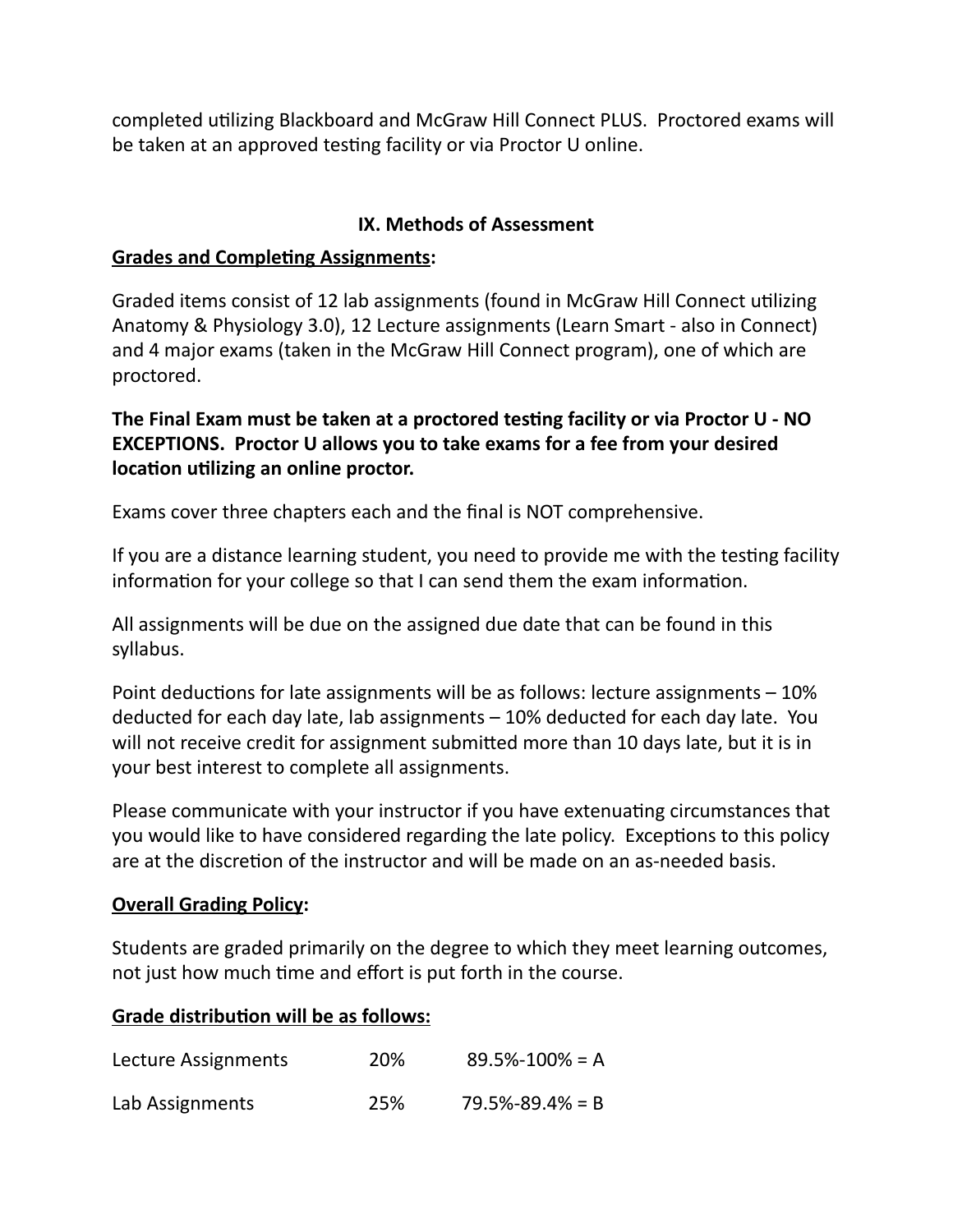completed utilizing Blackboard and McGraw Hill Connect PLUS. Proctored exams will be taken at an approved testing facility or via Proctor U online.

#### **IX. Methods of Assessment**

#### **Grades and Completing Assignments:**

Graded items consist of 12 lab assignments (found in McGraw Hill Connect utilizing Anatomy & Physiology 3.0), 12 Lecture assignments (Learn Smart - also in Connect) and 4 major exams (taken in the McGraw Hill Connect program), one of which are proctored.

## **The Final Exam must be taken at a proctored testing facility or via Proctor U - NO EXCEPTIONS. Proctor U allows you to take exams for a fee from your desired location utilizing an online proctor.**

Exams cover three chapters each and the final is NOT comprehensive.

If you are a distance learning student, you need to provide me with the testing facility information for your college so that I can send them the exam information.

All assignments will be due on the assigned due date that can be found in this syllabus.

Point deductions for late assignments will be as follows: lecture assignments – 10% deducted for each day late, lab assignments – 10% deducted for each day late. You will not receive credit for assignment submitted more than 10 days late, but it is in your best interest to complete all assignments.

Please communicate with your instructor if you have extenuating circumstances that you would like to have considered regarding the late policy. Exceptions to this policy are at the discretion of the instructor and will be made on an as-needed basis.

#### **Overall Grading Policy:**

Students are graded primarily on the degree to which they meet learning outcomes, not just how much time and effort is put forth in the course.

#### **Grade distribution will be as follows:**

| Lecture Assignments | <b>20%</b> | $89.5\% - 100\% = A$  |
|---------------------|------------|-----------------------|
| Lab Assignments     | 25%        | $79.5\% - 89.4\% = B$ |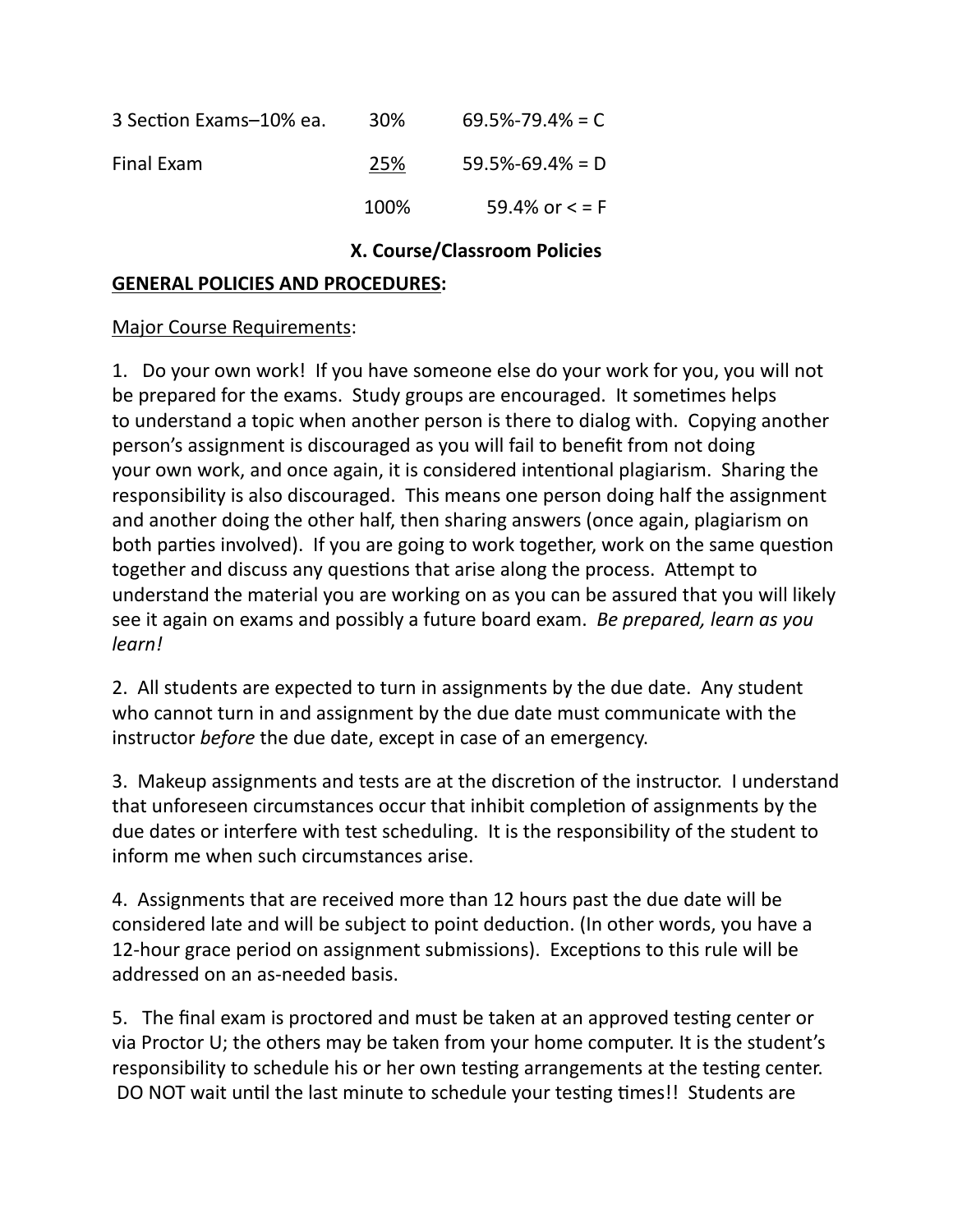| 3 Section Exams-10% ea. | 30%  | $69.5\% - 79.4\% = C$ |
|-------------------------|------|-----------------------|
| Final Exam              | 25%  | $59.5\% - 69.4\% = D$ |
|                         | 100% | 59.4% or $\lt$ = F    |

#### **X. Course/Classroom Policies**

#### **GENERAL POLICIES AND PROCEDURES:**

Major Course Requirements:

1. Do your own work! If you have someone else do your work for you, you will not be prepared for the exams. Study groups are encouraged. It sometimes helps to understand a topic when another person is there to dialog with. Copying another person's assignment is discouraged as you will fail to benefit from not doing your own work, and once again, it is considered intentional plagiarism. Sharing the responsibility is also discouraged. This means one person doing half the assignment and another doing the other half, then sharing answers (once again, plagiarism on both parties involved). If you are going to work together, work on the same question together and discuss any questions that arise along the process. Attempt to understand the material you are working on as you can be assured that you will likely see it again on exams and possibly a future board exam. *Be prepared, learn as you learn!*

2. All students are expected to turn in assignments by the due date. Any student who cannot turn in and assignment by the due date must communicate with the instructor *before* the due date, except in case of an emergency.

3. Makeup assignments and tests are at the discretion of the instructor. I understand that unforeseen circumstances occur that inhibit completion of assignments by the due dates or interfere with test scheduling. It is the responsibility of the student to inform me when such circumstances arise.

4. Assignments that are received more than 12 hours past the due date will be considered late and will be subject to point deduction. (In other words, you have a 12-hour grace period on assignment submissions). Exceptions to this rule will be addressed on an as-needed basis.

5. The final exam is proctored and must be taken at an approved testing center or via Proctor U; the others may be taken from your home computer. It is the student's responsibility to schedule his or her own testing arrangements at the testing center. DO NOT wait until the last minute to schedule your testing times!! Students are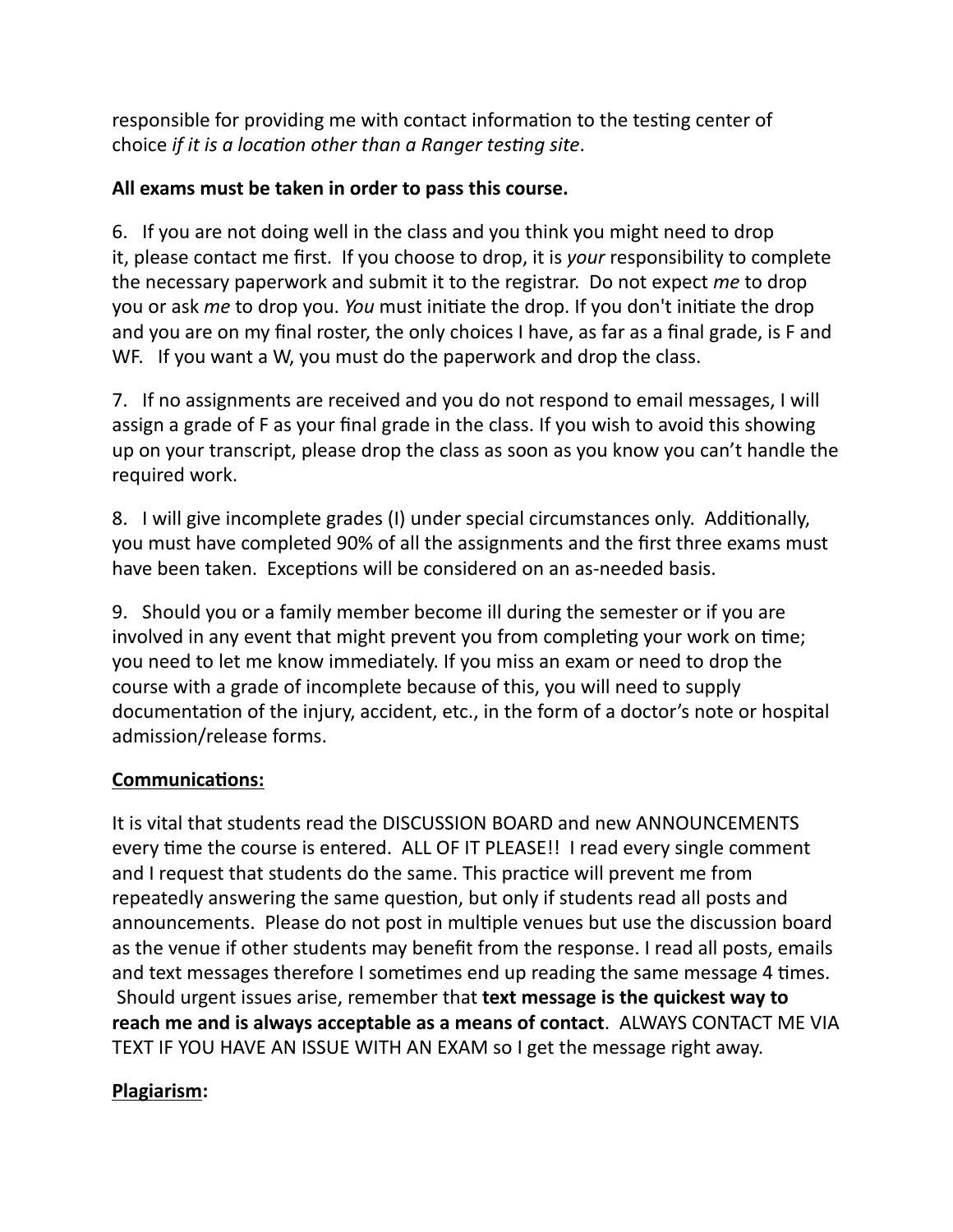responsible for providing me with contact information to the testing center of choice *if it is a location other than a Ranger testing site*.

## **All exams must be taken in order to pass this course.**

6. If you are not doing well in the class and you think you might need to drop it, please contact me first. If you choose to drop, it is *your* responsibility to complete the necessary paperwork and submit it to the registrar. Do not expect *me* to drop you or ask *me* to drop you. *You* must initiate the drop. If you don't initiate the drop and you are on my final roster, the only choices I have, as far as a final grade, is F and WF. If you want a W, you must do the paperwork and drop the class.

7. If no assignments are received and you do not respond to email messages, I will assign a grade of F as your final grade in the class. If you wish to avoid this showing up on your transcript, please drop the class as soon as you know you can't handle the required work.

8. I will give incomplete grades (I) under special circumstances only. Additionally, you must have completed 90% of all the assignments and the first three exams must have been taken. Exceptions will be considered on an as-needed basis.

9. Should you or a family member become ill during the semester or if you are involved in any event that might prevent you from completing your work on time; you need to let me know immediately. If you miss an exam or need to drop the course with a grade of incomplete because of this, you will need to supply documentation of the injury, accident, etc., in the form of a doctor's note or hospital admission/release forms.

## **Communications:**

It is vital that students read the DISCUSSION BOARD and new ANNOUNCEMENTS every time the course is entered. ALL OF IT PLEASE!! I read every single comment and I request that students do the same. This practice will prevent me from repeatedly answering the same question, but only if students read all posts and announcements. Please do not post in multiple venues but use the discussion board as the venue if other students may benefit from the response. I read all posts, emails and text messages therefore I sometimes end up reading the same message 4 times. Should urgent issues arise, remember that **text message is the quickest way to reach me and is always acceptable as a means of contact**. ALWAYS CONTACT ME VIA TEXT IF YOU HAVE AN ISSUE WITH AN EXAM so I get the message right away.

## **Plagiarism:**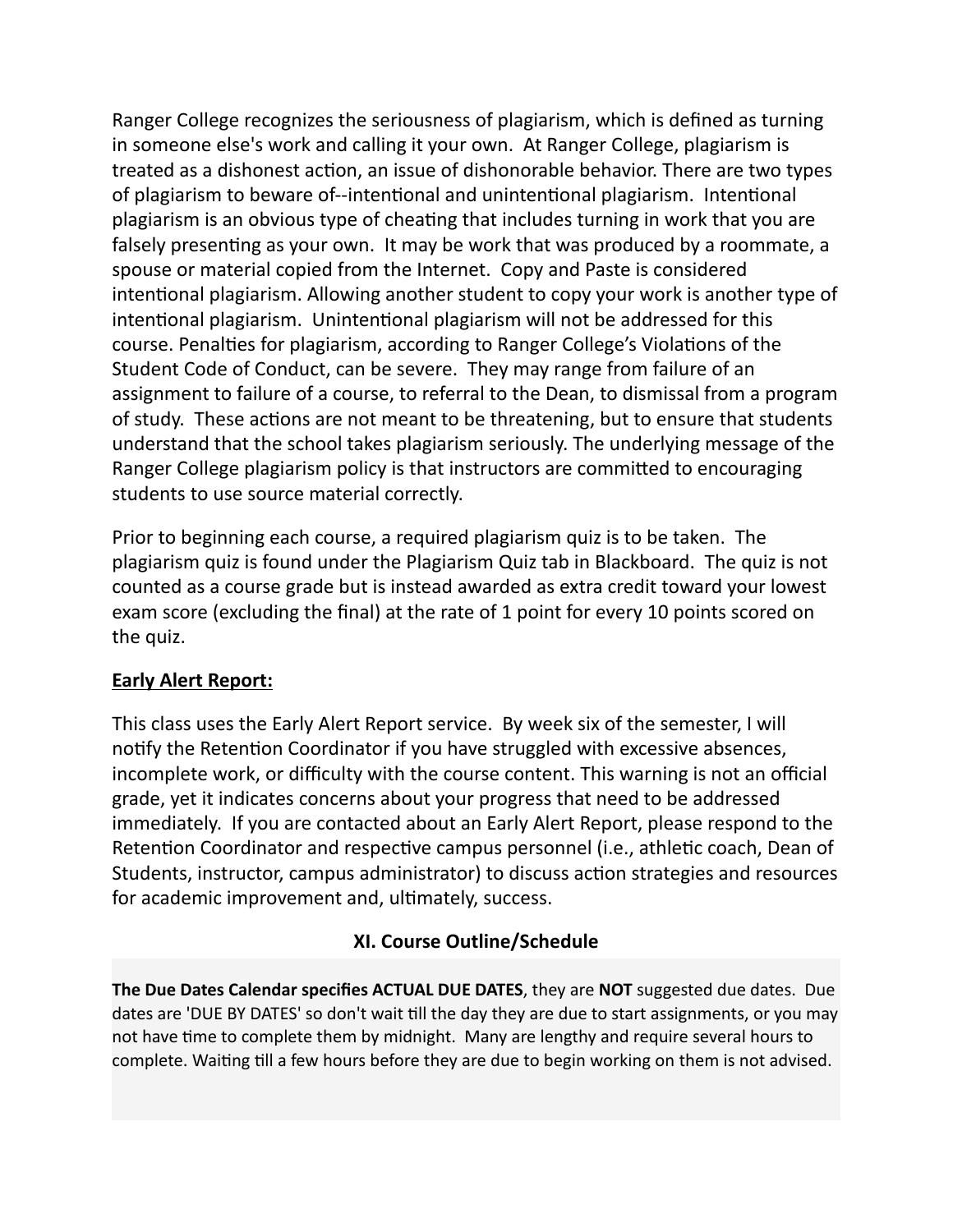Ranger College recognizes the seriousness of plagiarism, which is defined as turning in someone else's work and calling it your own. At Ranger College, plagiarism is treated as a dishonest action, an issue of dishonorable behavior. There are two types of plagiarism to beware of--intentional and unintentional plagiarism. Intentional plagiarism is an obvious type of cheating that includes turning in work that you are falsely presenting as your own. It may be work that was produced by a roommate, a spouse or material copied from the Internet. Copy and Paste is considered intentional plagiarism. Allowing another student to copy your work is another type of intentional plagiarism. Unintentional plagiarism will not be addressed for this course. Penalties for plagiarism, according to Ranger College's Violations of the Student Code of Conduct, can be severe. They may range from failure of an assignment to failure of a course, to referral to the Dean, to dismissal from a program of study. These actions are not meant to be threatening, but to ensure that students understand that the school takes plagiarism seriously. The underlying message of the Ranger College plagiarism policy is that instructors are committed to encouraging students to use source material correctly.

Prior to beginning each course, a required plagiarism quiz is to be taken. The plagiarism quiz is found under the Plagiarism Quiz tab in Blackboard. The quiz is not counted as a course grade but is instead awarded as extra credit toward your lowest exam score (excluding the final) at the rate of 1 point for every 10 points scored on the quiz.

#### **Early Alert Report:**

This class uses the Early Alert Report service. By week six of the semester, I will notify the Retention Coordinator if you have struggled with excessive absences, incomplete work, or difficulty with the course content. This warning is not an official grade, yet it indicates concerns about your progress that need to be addressed immediately. If you are contacted about an Early Alert Report, please respond to the Retention Coordinator and respective campus personnel (i.e., athletic coach, Dean of Students, instructor, campus administrator) to discuss action strategies and resources for academic improvement and, ultimately, success.

## **XI. Course Outline/Schedule**

**The Due Dates Calendar specifies ACTUAL DUE DATES**, they are **NOT** suggested due dates. Due dates are 'DUE BY DATES' so don't wait till the day they are due to start assignments, or you may not have time to complete them by midnight. Many are lengthy and require several hours to complete. Waiting till a few hours before they are due to begin working on them is not advised.